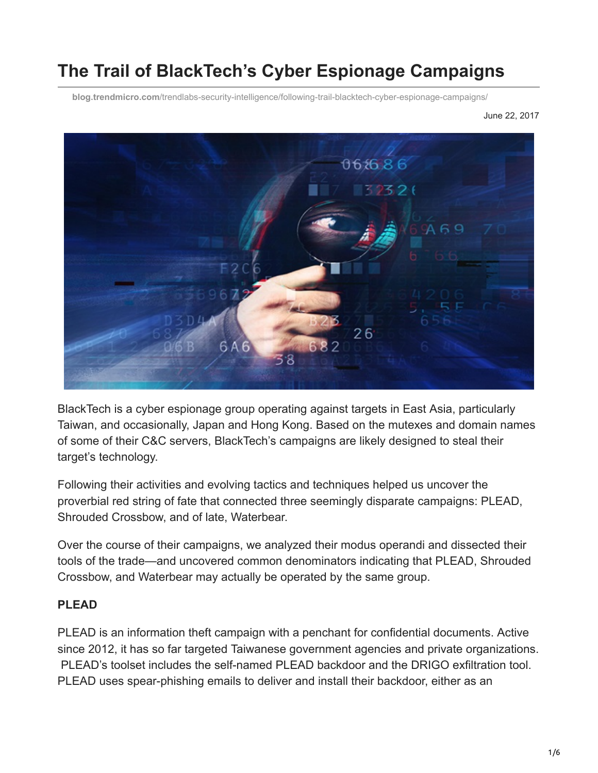# **The Trail of BlackTech's Cyber Espionage Campaigns**

**blog.trendmicro.com**[/trendlabs-security-intelligence/following-trail-blacktech-cyber-espionage-campaigns/](https://blog.trendmicro.com/trendlabs-security-intelligence/following-trail-blacktech-cyber-espionage-campaigns/)

June 22, 2017



BlackTech is a cyber espionage group operating against targets in East Asia, particularly Taiwan, and occasionally, Japan and Hong Kong. Based on the mutexes and domain names of some of their C&C servers, BlackTech's campaigns are likely designed to steal their target's technology.

Following their activities and evolving tactics and techniques helped us uncover the proverbial red string of fate that connected three seemingly disparate campaigns: PLEAD, Shrouded Crossbow, and of late, Waterbear.

Over the course of their campaigns, we analyzed their modus operandi and dissected their tools of the trade—and uncovered common denominators indicating that PLEAD, Shrouded Crossbow, and Waterbear may actually be operated by the same group.

#### **PLEAD**

PLEAD is an information theft campaign with a penchant for confidential documents. Active since 2012, it has so far targeted Taiwanese government agencies and private organizations. PLEAD's toolset includes the self-named PLEAD backdoor and the DRIGO exfiltration tool. PLEAD uses spear-phishing emails to deliver and install their backdoor, either as an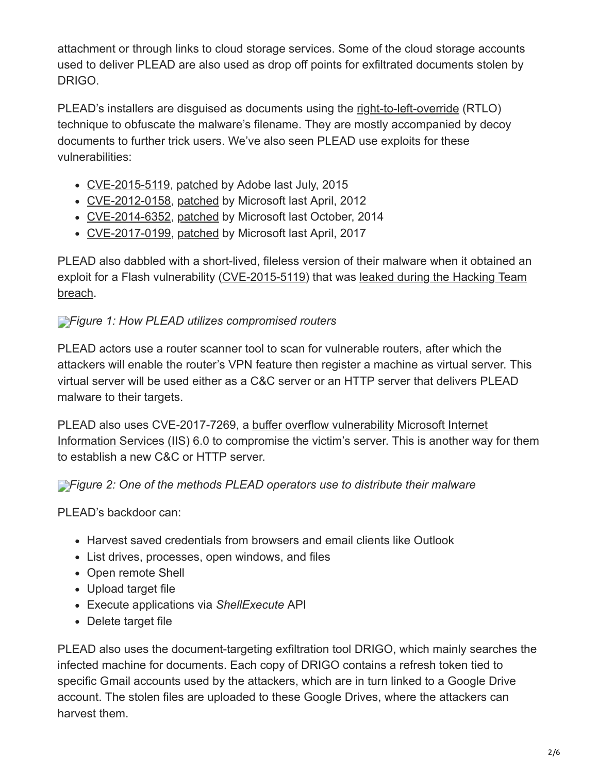attachment or through links to cloud storage services. Some of the cloud storage accounts used to deliver PLEAD are also used as drop off points for exfiltrated documents stolen by DRIGO.

PLEAD's installers are disguised as documents using the [right-to-left-override](http://krebsonsecurity.com/2011/09/right-to-left-override-aids-email-attacks/) (RTLO) technique to obfuscate the malware's filename. They are mostly accompanied by decoy documents to further trick users. We've also seen PLEAD use exploits for these vulnerabilities:

- [CVE-2015-5119](http://blog.trendmicro.com/trendlabs-security-intelligence/unpatched-flash-player-flaws-more-pocs-found-in-hacking-team-leak/), [patched](https://helpx.adobe.com/security/products/flash-player/apsa15-03.html) by Adobe last July, 2015
- [CVE-2012-0158](http://blog.trendmicro.com/trendlabs-security-intelligence/cve-2012-0158-exploitation-seen-in-various-global-campaigns/), [patched](https://technet.microsoft.com/en-us/library/security/ms12-027.aspx) by Microsoft last April, 2012
- [CVE-2014-6352](http://blog.trendmicro.com/trendlabs-security-intelligence/microsoft-windows-hit-by-new-zero-day-attack/), [patched](https://technet.microsoft.com/en-us/library/security/3010060.aspx) by Microsoft last October, 2014
- [CVE-2017-0199](http://blog.trendmicro.com/trendlabs-security-intelligence/april-patch-tuesday-microsoft-patches-office-vulnerability-used-zero-day-attacks/), [patched](https://portal.msrc.microsoft.com/en-US/security-guidance/advisory/CVE-2017-0199) by Microsoft last April, 2017

PLEAD also dabbled with a short-lived, fileless version of their malware when it obtained an [exploit for a Flash vulnerability \(CVE-2015-5119\) that was leaked during the Hacking Team](http://blog.trendmicro.com/trendlabs-security-intelligence/hacking-team-flash-zero-day-integrated-into-exploit-kits/) breach.

# *[F](https://blog.trendmicro.com/content/dam/trendmicro/global/en/migrated/security-intelligence-migration-spreadsheet/trendlabs-security-intelligence/2017/06/blacktech-1.jpg)igure 1: How PLEAD utilizes compromised routers*

PLEAD actors use a router scanner tool to scan for vulnerable routers, after which the attackers will enable the router's VPN feature then register a machine as virtual server. This virtual server will be used either as a C&C server or an HTTP server that delivers PLEAD malware to their targets.

[PLEAD also uses CVE-2017-7269, a buffer overflow vulnerability Microsoft Internet](http://blog.trendmicro.com/trendlabs-security-intelligence/iis-6-0-vulnerability-leads-code-execution/) Information Services (IIS) 6.0 to compromise the victim's server. This is another way for them to establish a new C&C or HTTP server.

*[F](https://blog.trendmicro.com/content/dam/trendmicro/global/en/migrated/security-intelligence-migration-spreadsheet/trendlabs-security-intelligence/2017/06/blacktech-2.jpg)igure 2: One of the methods PLEAD operators use to distribute their malware*

PLEAD's backdoor can:

- Harvest saved credentials from browsers and email clients like Outlook
- List drives, processes, open windows, and files
- Open remote Shell
- Upload target file
- Execute applications via *ShellExecute* API
- Delete target file

PLEAD also uses the document-targeting exfiltration tool DRIGO, which mainly searches the infected machine for documents. Each copy of DRIGO contains a refresh token tied to specific Gmail accounts used by the attackers, which are in turn linked to a Google Drive account. The stolen files are uploaded to these Google Drives, where the attackers can harvest them.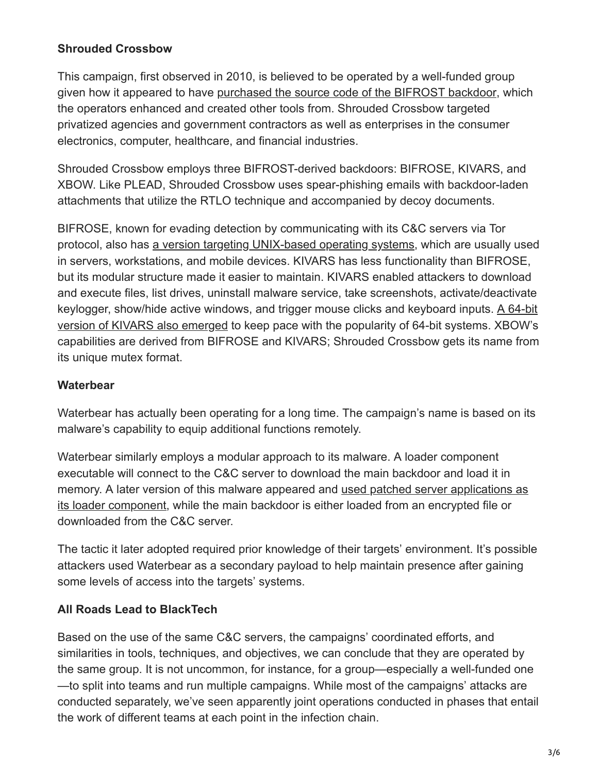#### **Shrouded Crossbow**

This campaign, first observed in 2010, is believed to be operated by a well-funded group given how it appeared to have [purchased the source code of the BIFROST backdoor](http://blog.trendmicro.com/trendlabs-security-intelligence/new-targeted-attack-group-buys-bifrose-code-works-in-teams/), which the operators enhanced and created other tools from. Shrouded Crossbow targeted privatized agencies and government contractors as well as enterprises in the consumer electronics, computer, healthcare, and financial industries.

Shrouded Crossbow employs three BIFROST-derived backdoors: BIFROSE, KIVARS, and XBOW. Like PLEAD, Shrouded Crossbow uses spear-phishing emails with backdoor-laden attachments that utilize the RTLO technique and accompanied by decoy documents.

BIFROSE, known for evading detection by communicating with its C&C servers via Tor protocol, also has [a version targeting UNIX-based operating systems](http://blog.trendmicro.com/trendlabs-security-intelligence/threat-actors-behind-shrouded-crossbow-creates-bifrose-for-unix/), which are usually used in servers, workstations, and mobile devices. KIVARS has less functionality than BIFROSE, but its modular structure made it easier to maintain. KIVARS enabled attackers to download and execute files, list drives, uninstall malware service, take screenshots, activate/deactivate [keylogger, show/hide active windows, and trigger mouse clicks and keyboard inputs. A 64-bit](http://blog.trendmicro.com/trendlabs-security-intelligence/kivars-with-venom-targeted-attacks-upgrade-with-64-bit-support/) version of KIVARS also emerged to keep pace with the popularity of 64-bit systems. XBOW's capabilities are derived from BIFROSE and KIVARS; Shrouded Crossbow gets its name from its unique mutex format.

#### **Waterbear**

Waterbear has actually been operating for a long time. The campaign's name is based on its malware's capability to equip additional functions remotely.

Waterbear similarly employs a modular approach to its malware. A loader component executable will connect to the C&C server to download the main backdoor and load it in [memory. A later version of this malware appeared and used patched server applications as](http://blog.trendmicro.com/trendlabs-security-intelligence/attack-gains-foothold-against-east-asian-government-through-auto-start/) its loader component, while the main backdoor is either loaded from an encrypted file or downloaded from the C&C server.

The tactic it later adopted required prior knowledge of their targets' environment. It's possible attackers used Waterbear as a secondary payload to help maintain presence after gaining some levels of access into the targets' systems.

## **All Roads Lead to BlackTech**

Based on the use of the same C&C servers, the campaigns' coordinated efforts, and similarities in tools, techniques, and objectives, we can conclude that they are operated by the same group. It is not uncommon, for instance, for a group—especially a well-funded one —to split into teams and run multiple campaigns. While most of the campaigns' attacks are conducted separately, we've seen apparently joint operations conducted in phases that entail the work of different teams at each point in the infection chain.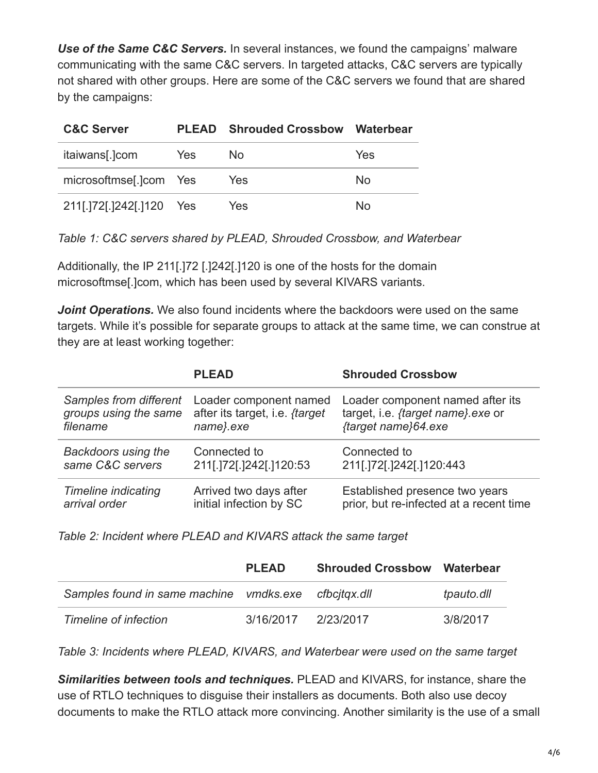*Use of the Same C&C Servers.* In several instances, we found the campaigns' malware communicating with the same C&C servers. In targeted attacks, C&C servers are typically not shared with other groups. Here are some of the C&C servers we found that are shared by the campaigns:

| <b>C&amp;C Server</b>    | <b>PLEAD</b> | <b>Shrouded Crossbow Waterbear</b> |     |
|--------------------------|--------------|------------------------------------|-----|
| itaiwans[.]com           | <b>Yes</b>   | No.                                | Yes |
| microsoftmse[.]com Yes   |              | Yes                                | No. |
| 211[.]72[.]242[.]120 Yes |              | Yes                                | Nο  |

*Table 1: C&C servers shared by PLEAD, Shrouded Crossbow, and Waterbear*

Additionally, the IP 211[.]72 [.]242[.]120 is one of the hosts for the domain microsoftmse[.]com, which has been used by several KIVARS variants.

**Joint Operations.** We also found incidents where the backdoors were used on the same targets. While it's possible for separate groups to attack at the same time, we can construe at they are at least working together:

|                            | <b>PLEAD</b>                          | <b>Shrouded Crossbow</b>                |
|----------------------------|---------------------------------------|-----------------------------------------|
| Samples from different     | Loader component named                | Loader component named after its        |
| groups using the same      | after its target, i.e. <i>{target</i> | target, i.e. {target name} exe or       |
| filename                   | name}.exe                             | {target name}64.exe                     |
| <b>Backdoors using the</b> | Connected to                          | Connected to                            |
| same C&C servers           | 211[.]72[.]242[.]120:53               | 211[.]72[.]242[.]120:443                |
| <b>Timeline indicating</b> | Arrived two days after                | Established presence two years          |
| arrival order              | initial infection by SC               | prior, but re-infected at a recent time |

*Table 2: Incident where PLEAD and KIVARS attack the same target*

|                                         | <b>PLEAD</b> | <b>Shrouded Crossbow Waterbear</b> |            |
|-----------------------------------------|--------------|------------------------------------|------------|
| Samples found in same machine vmdks.exe |              | cfbcitax.dll                       | tpauto.dll |
| Timeline of infection                   | 3/16/2017    | 2/23/2017                          | 3/8/2017   |

*Table 3: Incidents where PLEAD, KIVARS, and Waterbear were used on the same target*

*Similarities between tools and techniques.* PLEAD and KIVARS, for instance, share the use of RTLO techniques to disguise their installers as documents. Both also use decoy documents to make the RTLO attack more convincing. Another similarity is the use of a small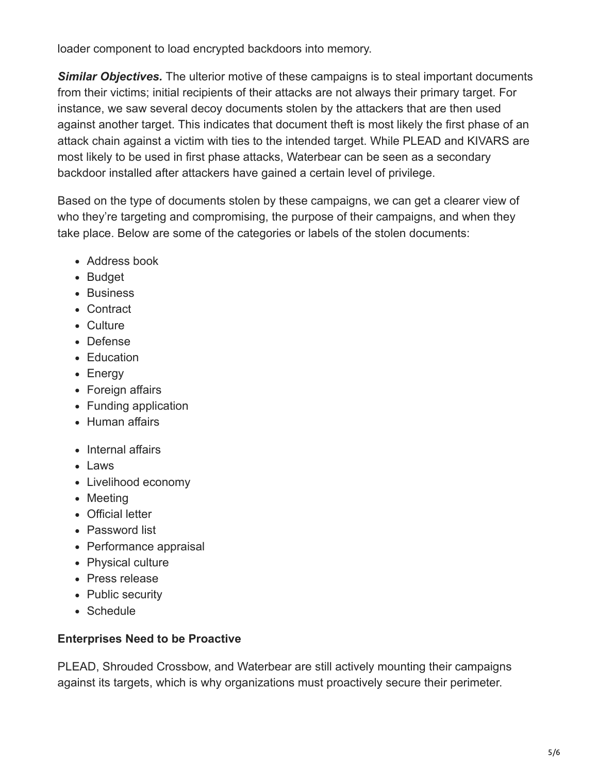loader component to load encrypted backdoors into memory.

**Similar Objectives.** The ulterior motive of these campaigns is to steal important documents from their victims; initial recipients of their attacks are not always their primary target. For instance, we saw several decoy documents stolen by the attackers that are then used against another target. This indicates that document theft is most likely the first phase of an attack chain against a victim with ties to the intended target. While PLEAD and KIVARS are most likely to be used in first phase attacks, Waterbear can be seen as a secondary backdoor installed after attackers have gained a certain level of privilege.

Based on the type of documents stolen by these campaigns, we can get a clearer view of who they're targeting and compromising, the purpose of their campaigns, and when they take place. Below are some of the categories or labels of the stolen documents:

- Address book
- Budget
- Business
- Contract
- Culture
- Defense
- Education
- Energy
- Foreign affairs
- Funding application
- Human affairs
- Internal affairs
- Laws
- Livelihood economy
- Meeting
- Official letter
- Password list
- Performance appraisal
- Physical culture
- Press release
- Public security
- Schedule

## **Enterprises Need to be Proactive**

PLEAD, Shrouded Crossbow, and Waterbear are still actively mounting their campaigns against its targets, which is why organizations must proactively secure their perimeter.